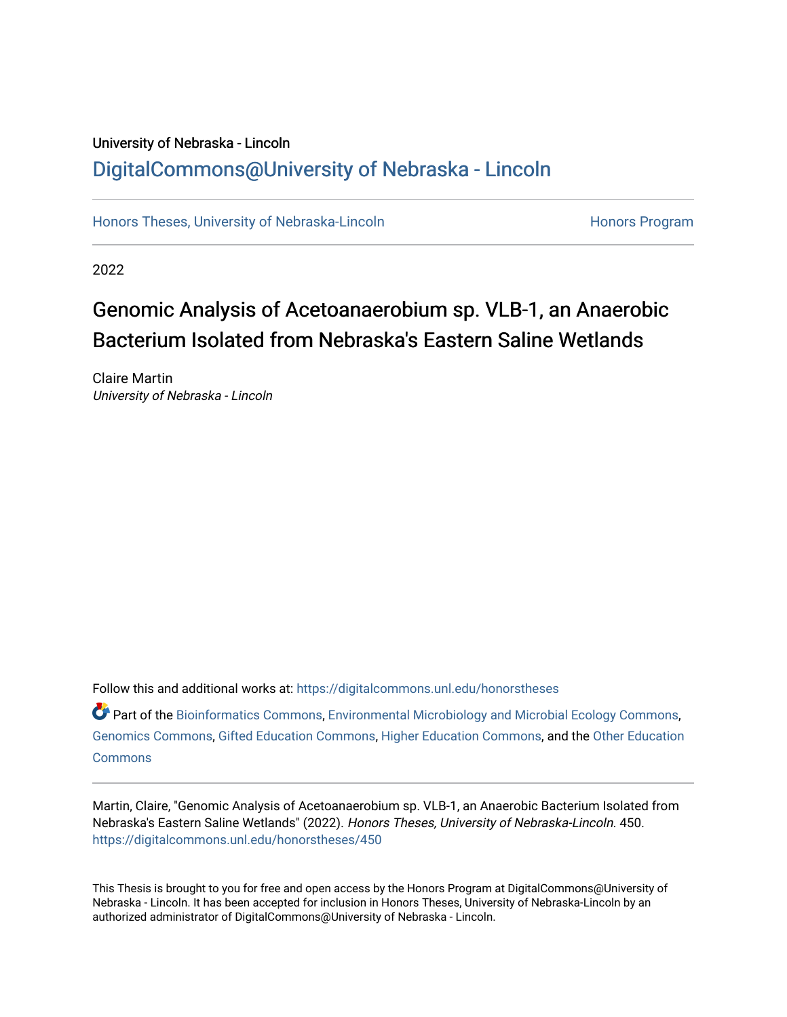### University of Nebraska - Lincoln [DigitalCommons@University of Nebraska - Lincoln](https://digitalcommons.unl.edu/)

[Honors Theses, University of Nebraska-Lincoln](https://digitalcommons.unl.edu/honorstheses) **Honors Program** Honors Program

2022

# Genomic Analysis of Acetoanaerobium sp. VLB-1, an Anaerobic Bacterium Isolated from Nebraska's Eastern Saline Wetlands

Claire Martin University of Nebraska - Lincoln

Follow this and additional works at: [https://digitalcommons.unl.edu/honorstheses](https://digitalcommons.unl.edu/honorstheses?utm_source=digitalcommons.unl.edu%2Fhonorstheses%2F450&utm_medium=PDF&utm_campaign=PDFCoverPages)

 $\bullet$  Part of the [Bioinformatics Commons,](http://network.bepress.com/hgg/discipline/110?utm_source=digitalcommons.unl.edu%2Fhonorstheses%2F450&utm_medium=PDF&utm_campaign=PDFCoverPages) [Environmental Microbiology and Microbial Ecology Commons](http://network.bepress.com/hgg/discipline/50?utm_source=digitalcommons.unl.edu%2Fhonorstheses%2F450&utm_medium=PDF&utm_campaign=PDFCoverPages), [Genomics Commons,](http://network.bepress.com/hgg/discipline/30?utm_source=digitalcommons.unl.edu%2Fhonorstheses%2F450&utm_medium=PDF&utm_campaign=PDFCoverPages) [Gifted Education Commons](http://network.bepress.com/hgg/discipline/1048?utm_source=digitalcommons.unl.edu%2Fhonorstheses%2F450&utm_medium=PDF&utm_campaign=PDFCoverPages), [Higher Education Commons](http://network.bepress.com/hgg/discipline/1245?utm_source=digitalcommons.unl.edu%2Fhonorstheses%2F450&utm_medium=PDF&utm_campaign=PDFCoverPages), and the [Other Education](http://network.bepress.com/hgg/discipline/811?utm_source=digitalcommons.unl.edu%2Fhonorstheses%2F450&utm_medium=PDF&utm_campaign=PDFCoverPages)  **[Commons](http://network.bepress.com/hgg/discipline/811?utm_source=digitalcommons.unl.edu%2Fhonorstheses%2F450&utm_medium=PDF&utm_campaign=PDFCoverPages)** 

Martin, Claire, "Genomic Analysis of Acetoanaerobium sp. VLB-1, an Anaerobic Bacterium Isolated from Nebraska's Eastern Saline Wetlands" (2022). Honors Theses, University of Nebraska-Lincoln. 450. [https://digitalcommons.unl.edu/honorstheses/450](https://digitalcommons.unl.edu/honorstheses/450?utm_source=digitalcommons.unl.edu%2Fhonorstheses%2F450&utm_medium=PDF&utm_campaign=PDFCoverPages)

This Thesis is brought to you for free and open access by the Honors Program at DigitalCommons@University of Nebraska - Lincoln. It has been accepted for inclusion in Honors Theses, University of Nebraska-Lincoln by an authorized administrator of DigitalCommons@University of Nebraska - Lincoln.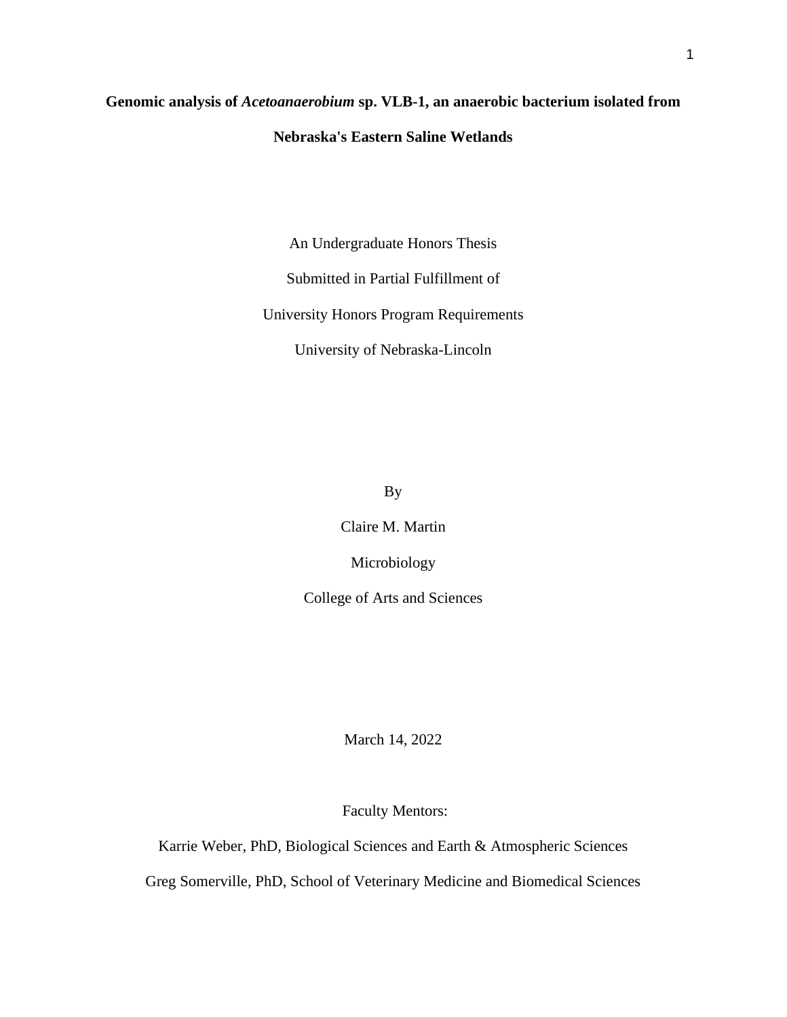## **Genomic analysis of** *Acetoanaerobium* **sp. VLB-1, an anaerobic bacterium isolated from Nebraska's Eastern Saline Wetlands**

An Undergraduate Honors Thesis

Submitted in Partial Fulfillment of

University Honors Program Requirements

University of Nebraska-Lincoln

By

Claire M. Martin

Microbiology

College of Arts and Sciences

March 14, 2022

Faculty Mentors:

Karrie Weber, PhD, Biological Sciences and Earth & Atmospheric Sciences Greg Somerville, PhD, School of Veterinary Medicine and Biomedical Sciences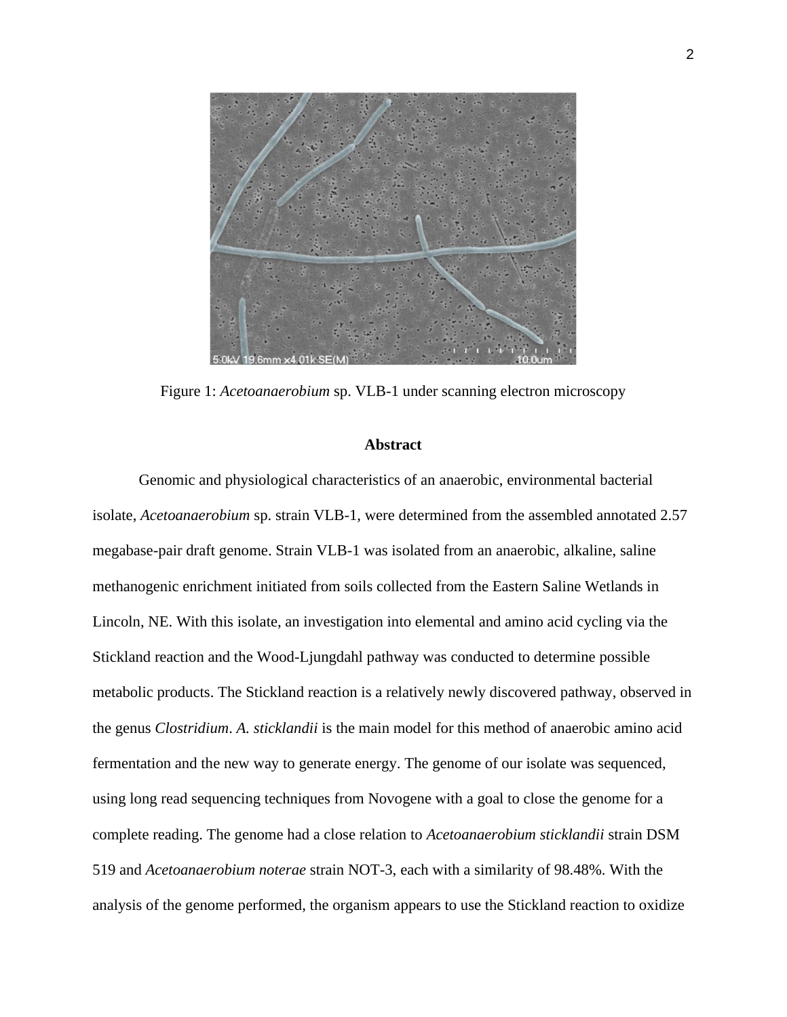

Figure 1: *Acetoanaerobium* sp. VLB-1 under scanning electron microscopy

#### **Abstract**

Genomic and physiological characteristics of an anaerobic, environmental bacterial isolate, *Acetoanaerobium* sp. strain VLB-1, were determined from the assembled annotated 2.57 megabase-pair draft genome. Strain VLB-1 was isolated from an anaerobic, alkaline, saline methanogenic enrichment initiated from soils collected from the Eastern Saline Wetlands in Lincoln, NE. With this isolate, an investigation into elemental and amino acid cycling via the Stickland reaction and the Wood-Ljungdahl pathway was conducted to determine possible metabolic products. The Stickland reaction is a relatively newly discovered pathway, observed in the genus *Clostridium*. *A. sticklandii* is the main model for this method of anaerobic amino acid fermentation and the new way to generate energy. The genome of our isolate was sequenced, using long read sequencing techniques from Novogene with a goal to close the genome for a complete reading. The genome had a close relation to *Acetoanaerobium sticklandii* strain DSM 519 and *Acetoanaerobium noterae* strain NOT-3, each with a similarity of 98.48%. With the analysis of the genome performed, the organism appears to use the Stickland reaction to oxidize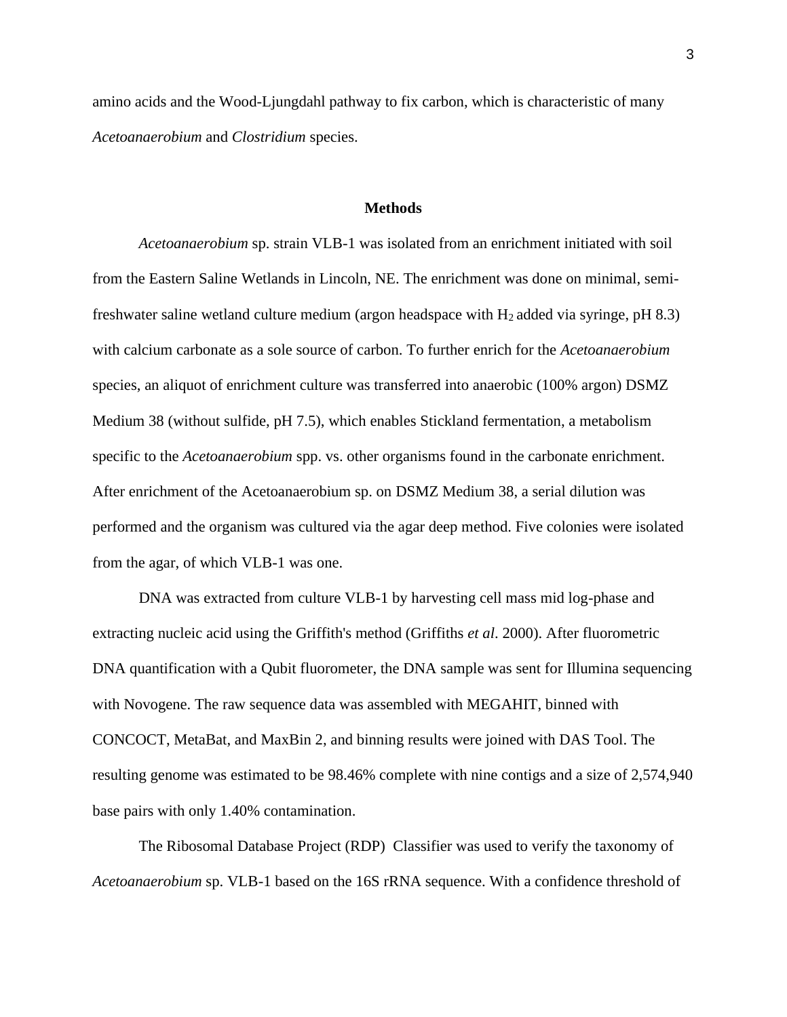amino acids and the Wood-Ljungdahl pathway to fix carbon, which is characteristic of many *Acetoanaerobium* and *Clostridium* species.

#### **Methods**

*Acetoanaerobium* sp. strain VLB-1 was isolated from an enrichment initiated with soil from the Eastern Saline Wetlands in Lincoln, NE. The enrichment was done on minimal, semifreshwater saline wetland culture medium (argon headspace with  $H_2$  added via syringe, pH 8.3) with calcium carbonate as a sole source of carbon. To further enrich for the *Acetoanaerobium* species, an aliquot of enrichment culture was transferred into anaerobic (100% argon) DSMZ Medium 38 (without sulfide, pH 7.5), which enables Stickland fermentation, a metabolism specific to the *Acetoanaerobium* spp. vs. other organisms found in the carbonate enrichment. After enrichment of the Acetoanaerobium sp. on DSMZ Medium 38, a serial dilution was performed and the organism was cultured via the agar deep method. Five colonies were isolated from the agar, of which VLB-1 was one.

DNA was extracted from culture VLB-1 by harvesting cell mass mid log-phase and extracting nucleic acid using the Griffith's method (Griffiths *et al*. 2000). After fluorometric DNA quantification with a Qubit fluorometer, the DNA sample was sent for Illumina sequencing with Novogene. The raw sequence data was assembled with MEGAHIT, binned with CONCOCT, MetaBat, and MaxBin 2, and binning results were joined with DAS Tool. The resulting genome was estimated to be 98.46% complete with nine contigs and a size of 2,574,940 base pairs with only 1.40% contamination.

The Ribosomal Database Project (RDP) Classifier was used to verify the taxonomy of *Acetoanaerobium* sp. VLB-1 based on the 16S rRNA sequence. With a confidence threshold of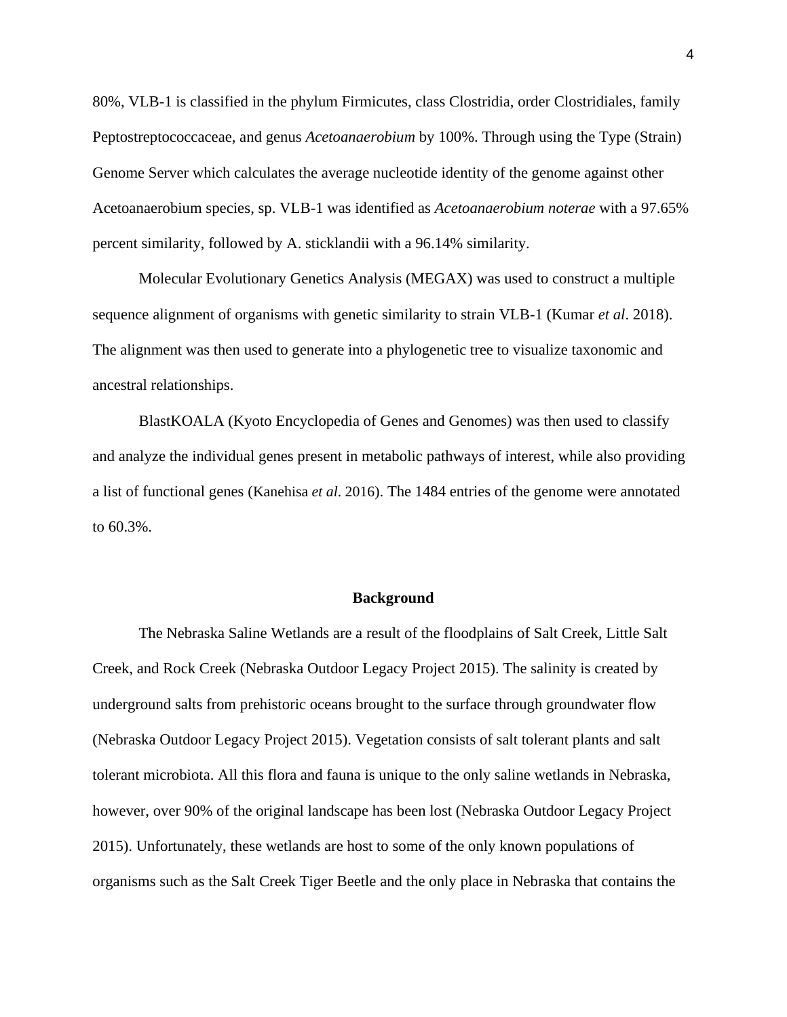80%, VLB-1 is classified in the phylum Firmicutes, class Clostridia, order Clostridiales, family Peptostreptococcaceae, and genus *Acetoanaerobium* by 100%. Through using the Type (Strain) Genome Server which calculates the average nucleotide identity of the genome against other Acetoanaerobium species, sp. VLB-1 was identified as *Acetoanaerobium noterae* with a 97.65% percent similarity, followed by A. sticklandii with a 96.14% similarity.

Molecular Evolutionary Genetics Analysis (MEGAX) was used to construct a multiple sequence alignment of organisms with genetic similarity to strain VLB-1 (Kumar *et al*. 2018). The alignment was then used to generate into a phylogenetic tree to visualize taxonomic and ancestral relationships.

BlastKOALA (Kyoto Encyclopedia of Genes and Genomes) was then used to classify and analyze the individual genes present in metabolic pathways of interest, while also providing a list of functional genes (Kanehisa *et al*. 2016). The 1484 entries of the genome were annotated to 60.3%.

#### **Background**

The Nebraska Saline Wetlands are a result of the floodplains of Salt Creek, Little Salt Creek, and Rock Creek (Nebraska Outdoor Legacy Project 2015). The salinity is created by underground salts from prehistoric oceans brought to the surface through groundwater flow (Nebraska Outdoor Legacy Project 2015). Vegetation consists of salt tolerant plants and salt tolerant microbiota. All this flora and fauna is unique to the only saline wetlands in Nebraska, however, over 90% of the original landscape has been lost (Nebraska Outdoor Legacy Project 2015). Unfortunately, these wetlands are host to some of the only known populations of organisms such as the Salt Creek Tiger Beetle and the only place in Nebraska that contains the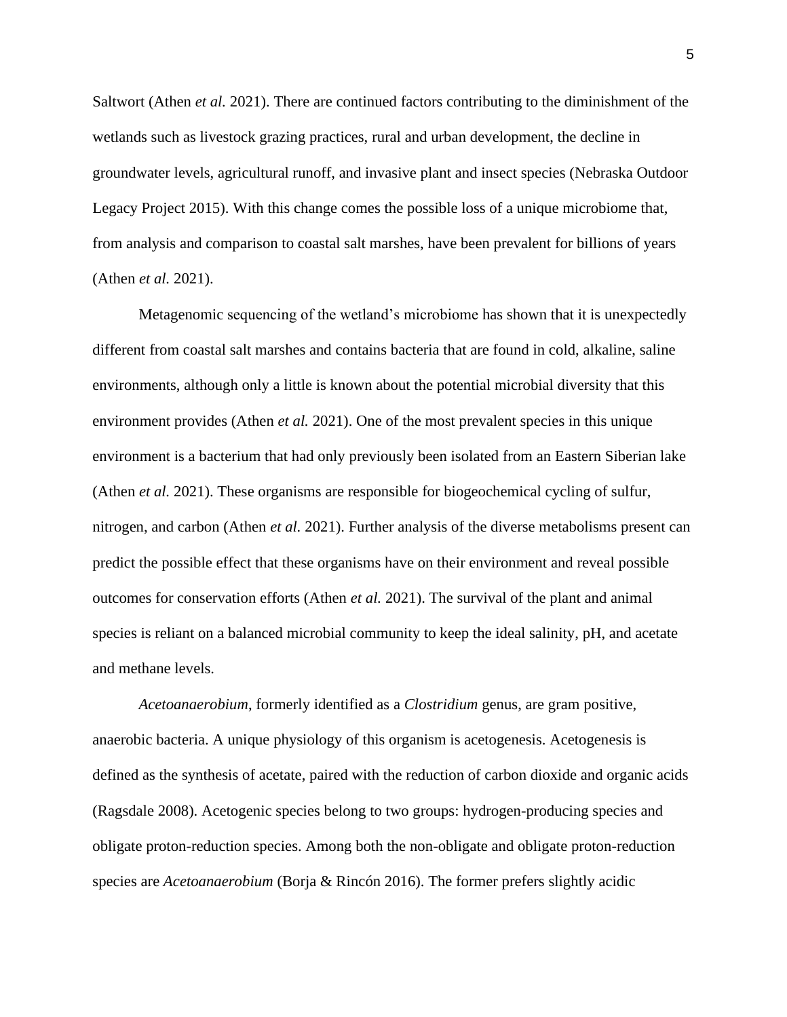Saltwort (Athen *et al.* 2021). There are continued factors contributing to the diminishment of the wetlands such as livestock grazing practices, rural and urban development, the decline in groundwater levels, agricultural runoff, and invasive plant and insect species (Nebraska Outdoor Legacy Project 2015). With this change comes the possible loss of a unique microbiome that, from analysis and comparison to coastal salt marshes, have been prevalent for billions of years (Athen *et al.* 2021).

Metagenomic sequencing of the wetland's microbiome has shown that it is unexpectedly different from coastal salt marshes and contains bacteria that are found in cold, alkaline, saline environments, although only a little is known about the potential microbial diversity that this environment provides (Athen *et al.* 2021). One of the most prevalent species in this unique environment is a bacterium that had only previously been isolated from an Eastern Siberian lake (Athen *et al.* 2021). These organisms are responsible for biogeochemical cycling of sulfur, nitrogen, and carbon (Athen *et al.* 2021). Further analysis of the diverse metabolisms present can predict the possible effect that these organisms have on their environment and reveal possible outcomes for conservation efforts (Athen *et al.* 2021). The survival of the plant and animal species is reliant on a balanced microbial community to keep the ideal salinity, pH, and acetate and methane levels.

*Acetoanaerobium*, formerly identified as a *Clostridium* genus, are gram positive, anaerobic bacteria. A unique physiology of this organism is acetogenesis. Acetogenesis is defined as the synthesis of acetate, paired with the reduction of carbon dioxide and organic acids (Ragsdale 2008). Acetogenic species belong to two groups: hydrogen-producing species and obligate proton-reduction species. Among both the non-obligate and obligate proton-reduction species are *Acetoanaerobium* (Borja & Rincón 2016). The former prefers slightly acidic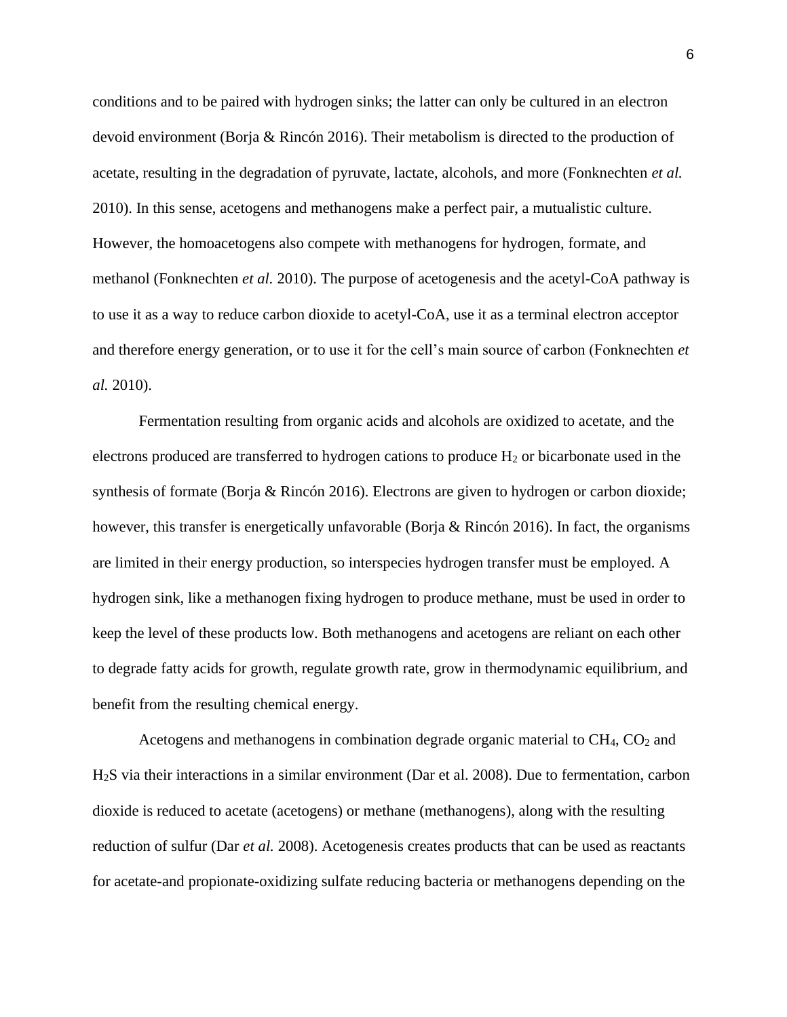conditions and to be paired with hydrogen sinks; the latter can only be cultured in an electron devoid environment (Borja & Rincón 2016). Their metabolism is directed to the production of acetate, resulting in the degradation of pyruvate, lactate, alcohols, and more (Fonknechten *et al.* 2010). In this sense, acetogens and methanogens make a perfect pair, a mutualistic culture. However, the homoacetogens also compete with methanogens for hydrogen, formate, and methanol (Fonknechten *et al.* 2010). The purpose of acetogenesis and the acetyl-CoA pathway is to use it as a way to reduce carbon dioxide to acetyl-CoA, use it as a terminal electron acceptor and therefore energy generation, or to use it for the cell's main source of carbon (Fonknechten *et al.* 2010).

Fermentation resulting from organic acids and alcohols are oxidized to acetate, and the electrons produced are transferred to hydrogen cations to produce H<sub>2</sub> or bicarbonate used in the synthesis of formate (Borja & Rincón 2016). Electrons are given to hydrogen or carbon dioxide; however, this transfer is energetically unfavorable (Borja & Rincón 2016). In fact, the organisms are limited in their energy production, so interspecies hydrogen transfer must be employed. A hydrogen sink, like a methanogen fixing hydrogen to produce methane, must be used in order to keep the level of these products low. Both methanogens and acetogens are reliant on each other to degrade fatty acids for growth, regulate growth rate, grow in thermodynamic equilibrium, and benefit from the resulting chemical energy.

Acetogens and methanogens in combination degrade organic material to  $CH<sub>4</sub>, CO<sub>2</sub>$  and H2S via their interactions in a similar environment (Dar et al. 2008). Due to fermentation, carbon dioxide is reduced to acetate (acetogens) or methane (methanogens), along with the resulting reduction of sulfur (Dar *et al.* 2008). Acetogenesis creates products that can be used as reactants for acetate-and propionate-oxidizing sulfate reducing bacteria or methanogens depending on the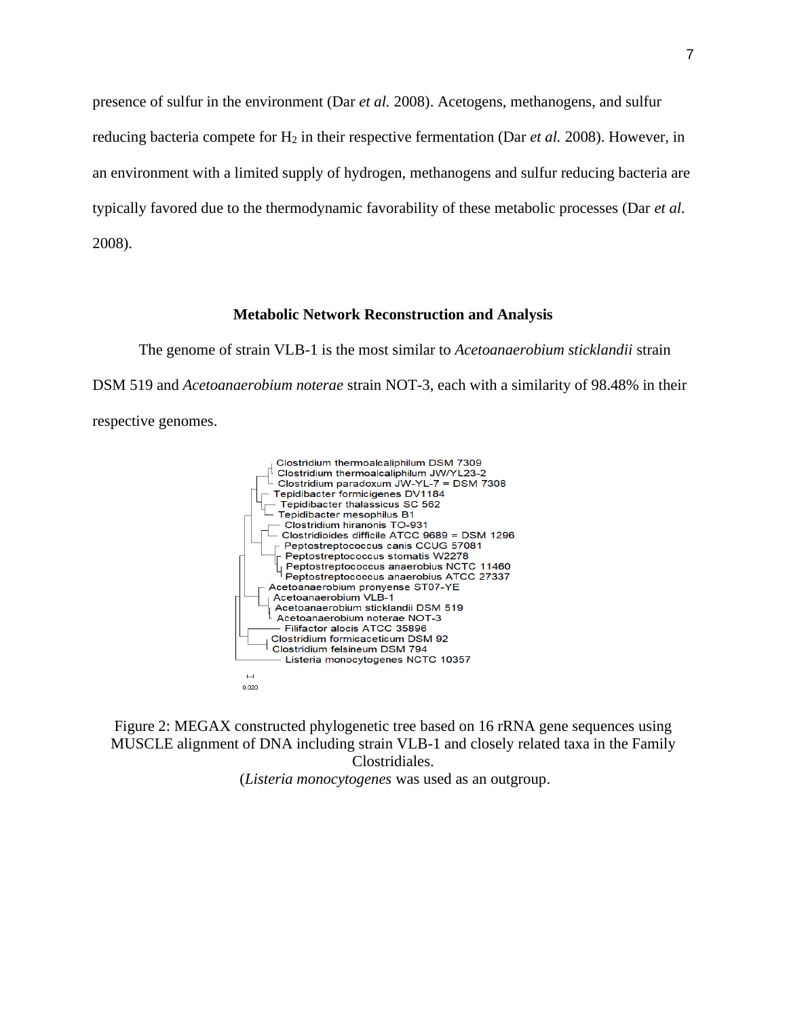presence of sulfur in the environment (Dar *et al.* 2008). Acetogens, methanogens, and sulfur reducing bacteria compete for H<sub>2</sub> in their respective fermentation (Dar *et al.* 2008). However, in an environment with a limited supply of hydrogen, methanogens and sulfur reducing bacteria are typically favored due to the thermodynamic favorability of these metabolic processes (Dar *et al.* 2008).

#### **Metabolic Network Reconstruction and Analysis**

The genome of strain VLB-1 is the most similar to *Acetoanaerobium sticklandii* strain DSM 519 and *Acetoanaerobium noterae* strain NOT-3, each with a similarity of 98.48% in their respective genomes.



Figure 2: MEGAX constructed phylogenetic tree based on 16 rRNA gene sequences using MUSCLE alignment of DNA including strain VLB-1 and closely related taxa in the Family Clostridiales.

(*Listeria monocytogenes* was used as an outgroup.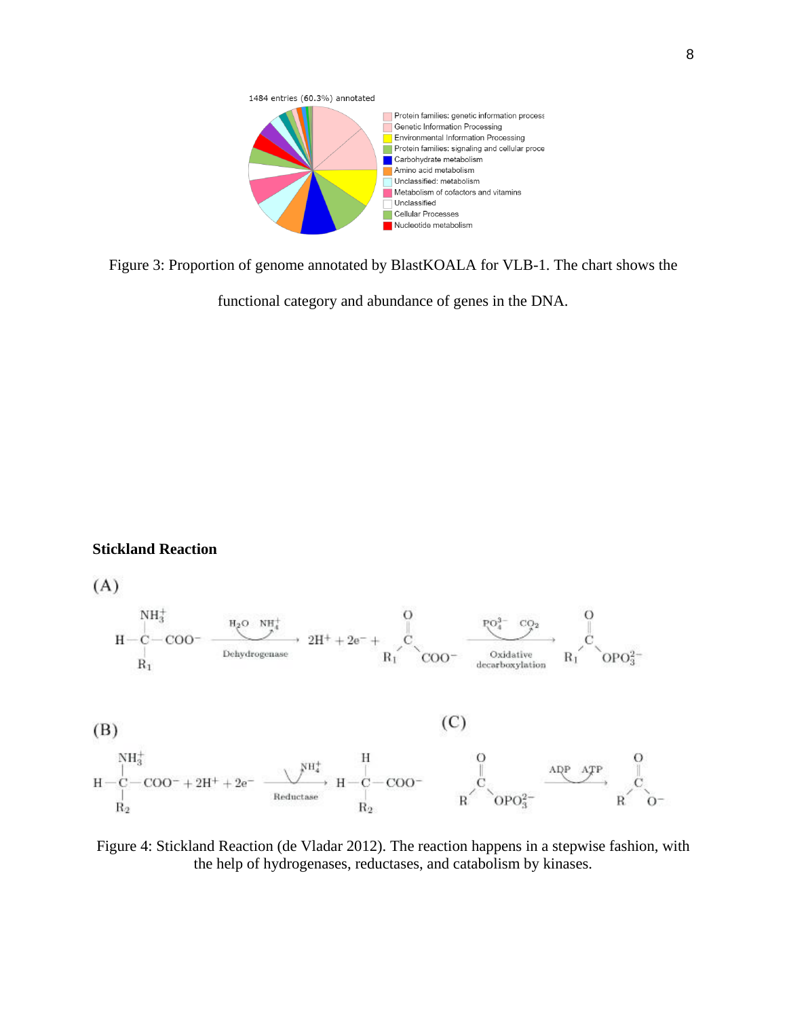

Figure 3: Proportion of genome annotated by BlastKOALA for VLB-1. The chart shows the

functional category and abundance of genes in the DNA.

#### **Stickland Reaction**

 $(A)$ 



(B)

 $(C)$ 



Figure 4: Stickland Reaction (de Vladar 2012). The reaction happens in a stepwise fashion, with the help of hydrogenases, reductases, and catabolism by kinases.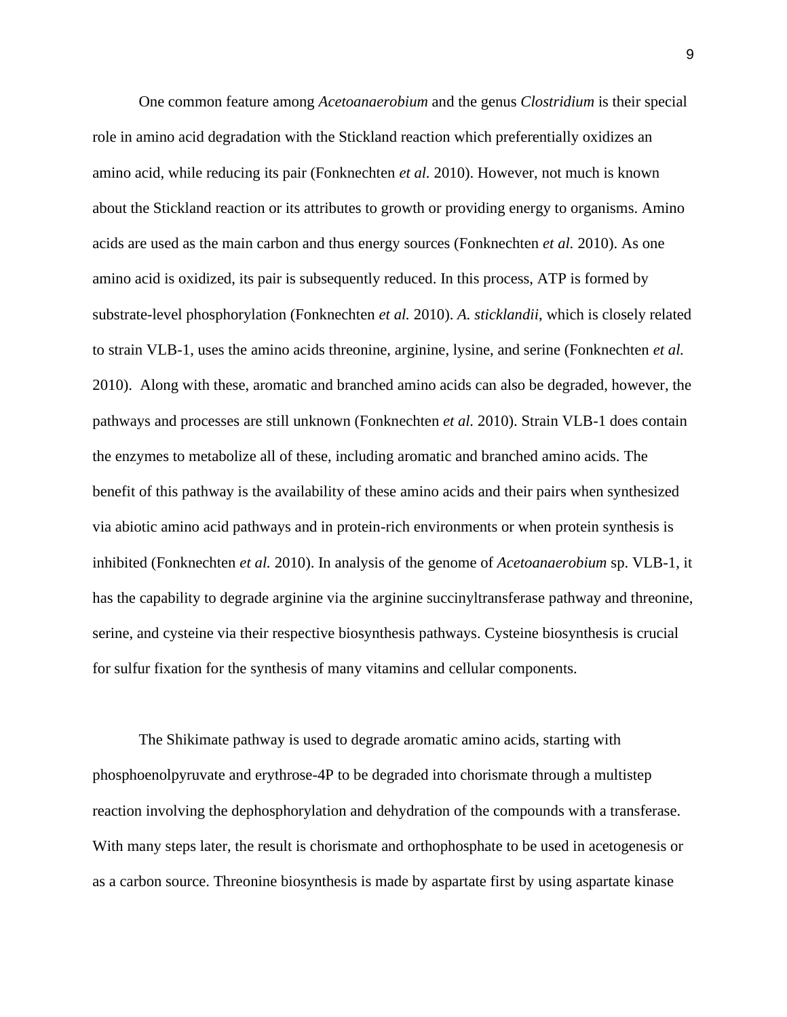One common feature among *Acetoanaerobium* and the genus *Clostridium* is their special role in amino acid degradation with the Stickland reaction which preferentially oxidizes an amino acid, while reducing its pair (Fonknechten *et al.* 2010). However, not much is known about the Stickland reaction or its attributes to growth or providing energy to organisms. Amino acids are used as the main carbon and thus energy sources (Fonknechten *et al.* 2010). As one amino acid is oxidized, its pair is subsequently reduced. In this process, ATP is formed by substrate-level phosphorylation (Fonknechten *et al.* 2010). *A. sticklandii*, which is closely related to strain VLB-1, uses the amino acids threonine, arginine, lysine, and serine (Fonknechten *et al.* 2010). Along with these, aromatic and branched amino acids can also be degraded, however, the pathways and processes are still unknown (Fonknechten *et al.* 2010). Strain VLB-1 does contain the enzymes to metabolize all of these, including aromatic and branched amino acids. The benefit of this pathway is the availability of these amino acids and their pairs when synthesized via abiotic amino acid pathways and in protein-rich environments or when protein synthesis is inhibited (Fonknechten *et al.* 2010). In analysis of the genome of *Acetoanaerobium* sp. VLB-1, it has the capability to degrade arginine via the arginine succinyltransferase pathway and threonine, serine, and cysteine via their respective biosynthesis pathways. Cysteine biosynthesis is crucial for sulfur fixation for the synthesis of many vitamins and cellular components.

The Shikimate pathway is used to degrade aromatic amino acids, starting with phosphoenolpyruvate and erythrose-4P to be degraded into chorismate through a multistep reaction involving the dephosphorylation and dehydration of the compounds with a transferase. With many steps later, the result is chorismate and orthophosphate to be used in acetogenesis or as a carbon source. Threonine biosynthesis is made by aspartate first by using aspartate kinase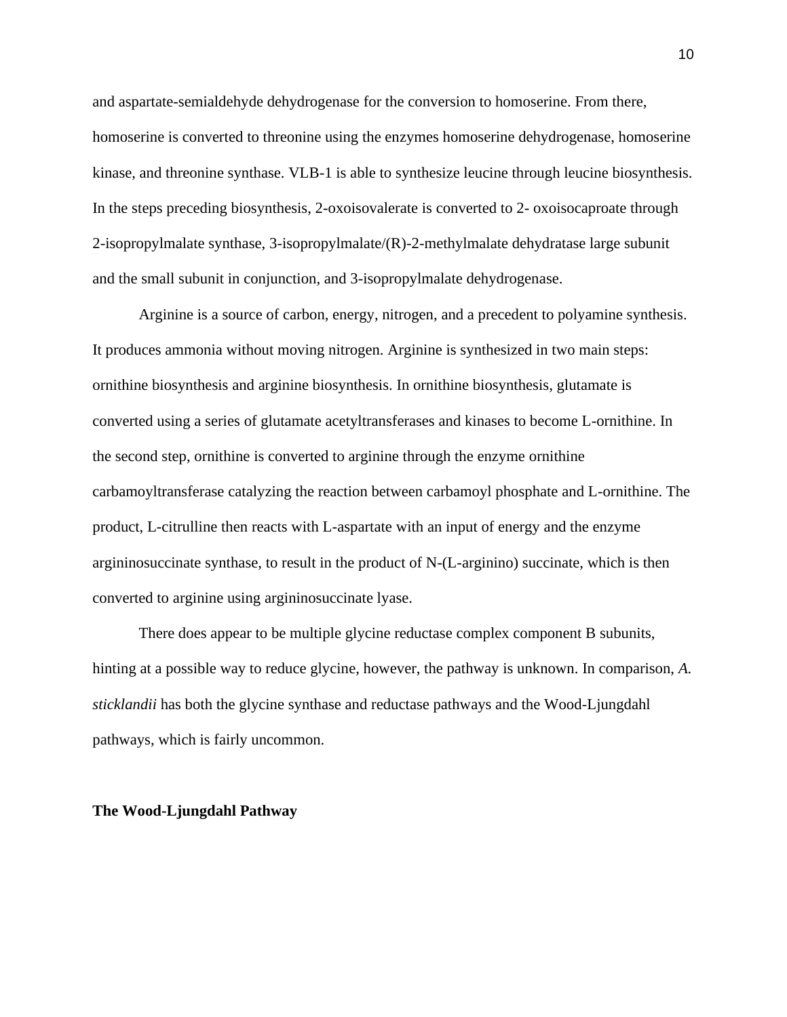and aspartate-semialdehyde dehydrogenase for the conversion to homoserine. From there, homoserine is converted to threonine using the enzymes homoserine dehydrogenase, homoserine kinase, and threonine synthase. VLB-1 is able to synthesize leucine through leucine biosynthesis. In the steps preceding biosynthesis, 2-oxoisovalerate is converted to 2- oxoisocaproate through 2-isopropylmalate synthase, 3-isopropylmalate/(R)-2-methylmalate dehydratase large subunit and the small subunit in conjunction, and 3-isopropylmalate dehydrogenase.

Arginine is a source of carbon, energy, nitrogen, and a precedent to polyamine synthesis. It produces ammonia without moving nitrogen. Arginine is synthesized in two main steps: ornithine biosynthesis and arginine biosynthesis. In ornithine biosynthesis, glutamate is converted using a series of glutamate acetyltransferases and kinases to become L-ornithine. In the second step, ornithine is converted to arginine through the enzyme ornithine carbamoyltransferase catalyzing the reaction between carbamoyl phosphate and L-ornithine. The product, L-citrulline then reacts with L-aspartate with an input of energy and the enzyme argininosuccinate synthase, to result in the product of N-(L-arginino) succinate, which is then converted to arginine using argininosuccinate lyase.

There does appear to be multiple glycine reductase complex component B subunits, hinting at a possible way to reduce glycine, however, the pathway is unknown. In comparison, *A. sticklandii* has both the glycine synthase and reductase pathways and the Wood-Ljungdahl pathways, which is fairly uncommon.

#### **The Wood-Ljungdahl Pathway**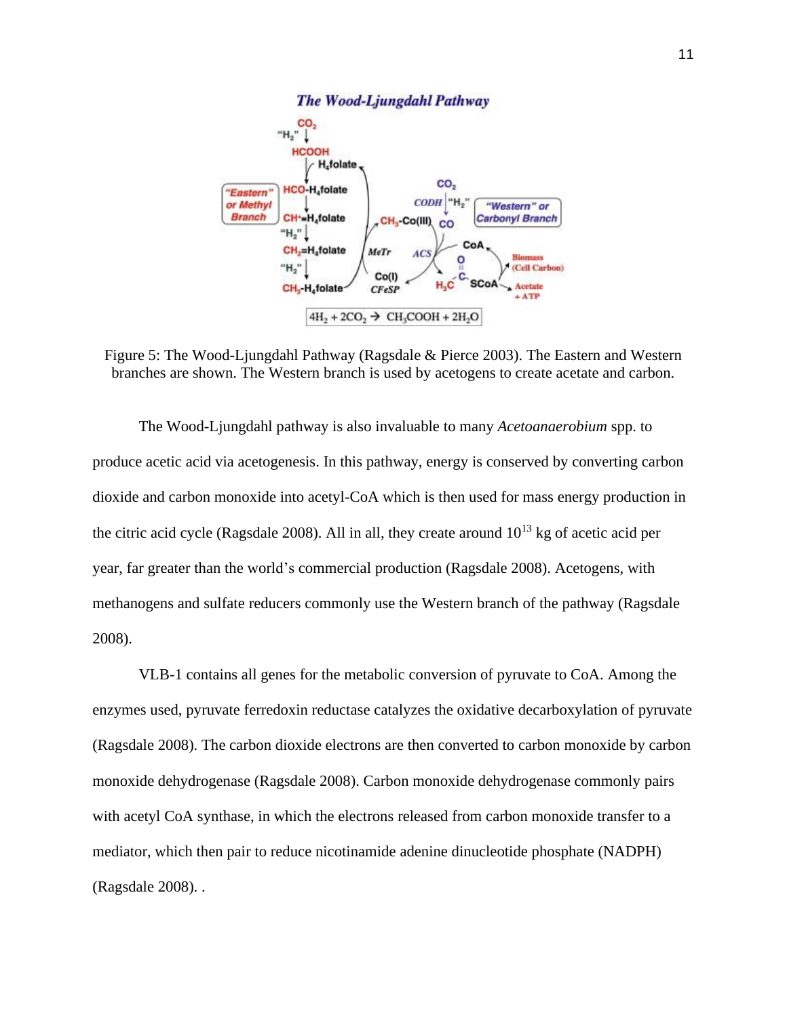

Figure 5: The Wood-Ljungdahl Pathway (Ragsdale & Pierce 2003). The Eastern and Western branches are shown. The Western branch is used by acetogens to create acetate and carbon.

The Wood-Ljungdahl pathway is also invaluable to many *Acetoanaerobium* spp. to produce acetic acid via acetogenesis. In this pathway, energy is conserved by converting carbon dioxide and carbon monoxide into acetyl-CoA which is then used for mass energy production in the citric acid cycle (Ragsdale 2008). All in all, they create around  $10^{13}$  kg of acetic acid per year, far greater than the world's commercial production (Ragsdale 2008). Acetogens, with methanogens and sulfate reducers commonly use the Western branch of the pathway (Ragsdale 2008).

VLB-1 contains all genes for the metabolic conversion of pyruvate to CoA. Among the enzymes used, pyruvate ferredoxin reductase catalyzes the oxidative decarboxylation of pyruvate (Ragsdale 2008). The carbon dioxide electrons are then converted to carbon monoxide by carbon monoxide dehydrogenase (Ragsdale 2008). Carbon monoxide dehydrogenase commonly pairs with acetyl CoA synthase, in which the electrons released from carbon monoxide transfer to a mediator, which then pair to reduce nicotinamide adenine dinucleotide phosphate (NADPH) (Ragsdale 2008). .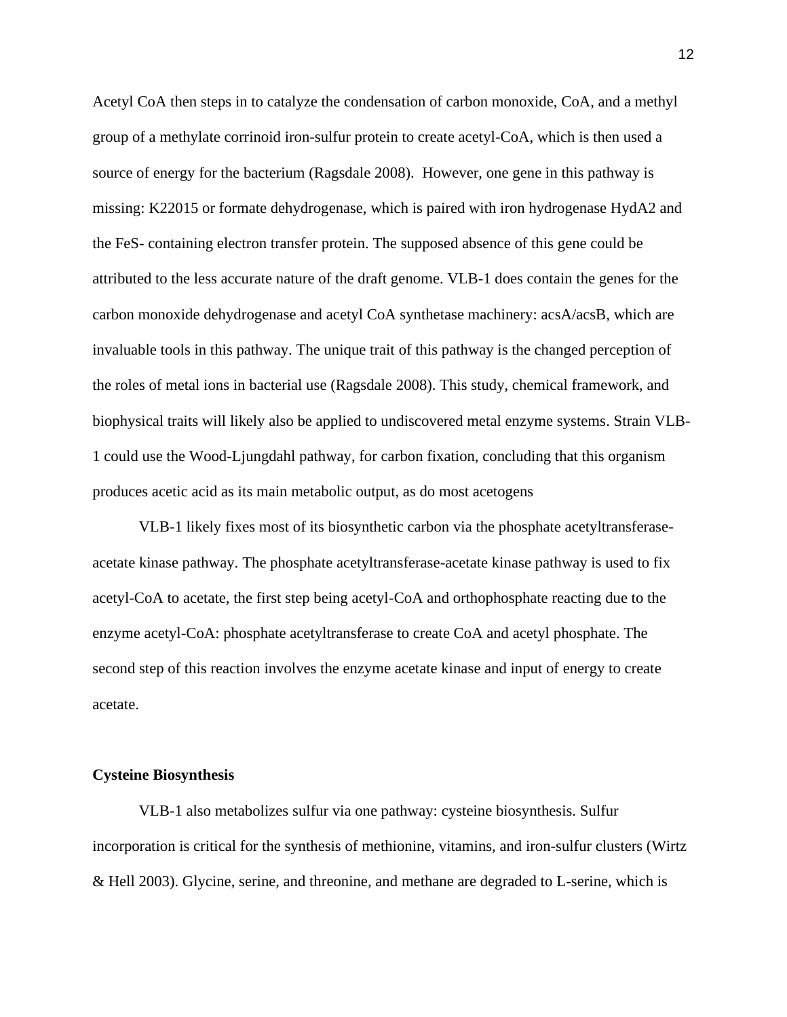Acetyl CoA then steps in to catalyze the condensation of carbon monoxide, CoA, and a methyl group of a methylate corrinoid iron-sulfur protein to create acetyl-CoA, which is then used a source of energy for the bacterium (Ragsdale 2008). However, one gene in this pathway is missing: K22015 or formate dehydrogenase, which is paired with iron hydrogenase HydA2 and the FeS- containing electron transfer protein. The supposed absence of this gene could be attributed to the less accurate nature of the draft genome. VLB-1 does contain the genes for the carbon monoxide dehydrogenase and acetyl CoA synthetase machinery: acsA/acsB, which are invaluable tools in this pathway. The unique trait of this pathway is the changed perception of the roles of metal ions in bacterial use (Ragsdale 2008). This study, chemical framework, and biophysical traits will likely also be applied to undiscovered metal enzyme systems. Strain VLB-1 could use the Wood-Ljungdahl pathway, for carbon fixation, concluding that this organism produces acetic acid as its main metabolic output, as do most acetogens

VLB-1 likely fixes most of its biosynthetic carbon via the phosphate acetyltransferaseacetate kinase pathway. The phosphate acetyltransferase-acetate kinase pathway is used to fix acetyl-CoA to acetate, the first step being acetyl-CoA and orthophosphate reacting due to the enzyme acetyl-CoA: phosphate acetyltransferase to create CoA and acetyl phosphate. The second step of this reaction involves the enzyme acetate kinase and input of energy to create acetate.

#### **Cysteine Biosynthesis**

VLB-1 also metabolizes sulfur via one pathway: cysteine biosynthesis. Sulfur incorporation is critical for the synthesis of methionine, vitamins, and iron-sulfur clusters (Wirtz & Hell 2003). Glycine, serine, and threonine, and methane are degraded to L-serine, which is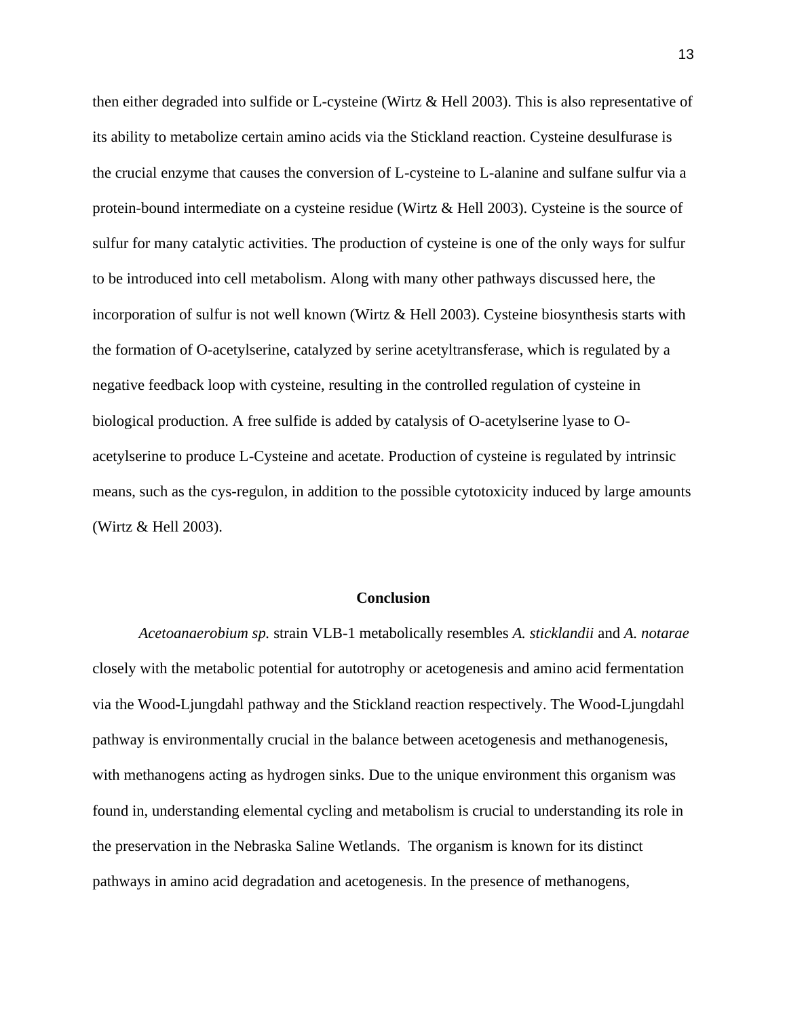then either degraded into sulfide or L-cysteine (Wirtz & Hell 2003). This is also representative of its ability to metabolize certain amino acids via the Stickland reaction. Cysteine desulfurase is the crucial enzyme that causes the conversion of L-cysteine to L-alanine and sulfane sulfur via a protein-bound intermediate on a cysteine residue (Wirtz & Hell 2003). Cysteine is the source of sulfur for many catalytic activities. The production of cysteine is one of the only ways for sulfur to be introduced into cell metabolism. Along with many other pathways discussed here, the incorporation of sulfur is not well known (Wirtz & Hell 2003). Cysteine biosynthesis starts with the formation of O-acetylserine, catalyzed by serine acetyltransferase, which is regulated by a negative feedback loop with cysteine, resulting in the controlled regulation of cysteine in biological production. A free sulfide is added by catalysis of O-acetylserine lyase to Oacetylserine to produce L-Cysteine and acetate. Production of cysteine is regulated by intrinsic means, such as the cys-regulon, in addition to the possible cytotoxicity induced by large amounts (Wirtz & Hell 2003).

#### **Conclusion**

*Acetoanaerobium sp.* strain VLB-1 metabolically resembles *A. sticklandii* and *A. notarae* closely with the metabolic potential for autotrophy or acetogenesis and amino acid fermentation via the Wood-Ljungdahl pathway and the Stickland reaction respectively. The Wood-Ljungdahl pathway is environmentally crucial in the balance between acetogenesis and methanogenesis, with methanogens acting as hydrogen sinks. Due to the unique environment this organism was found in, understanding elemental cycling and metabolism is crucial to understanding its role in the preservation in the Nebraska Saline Wetlands. The organism is known for its distinct pathways in amino acid degradation and acetogenesis. In the presence of methanogens,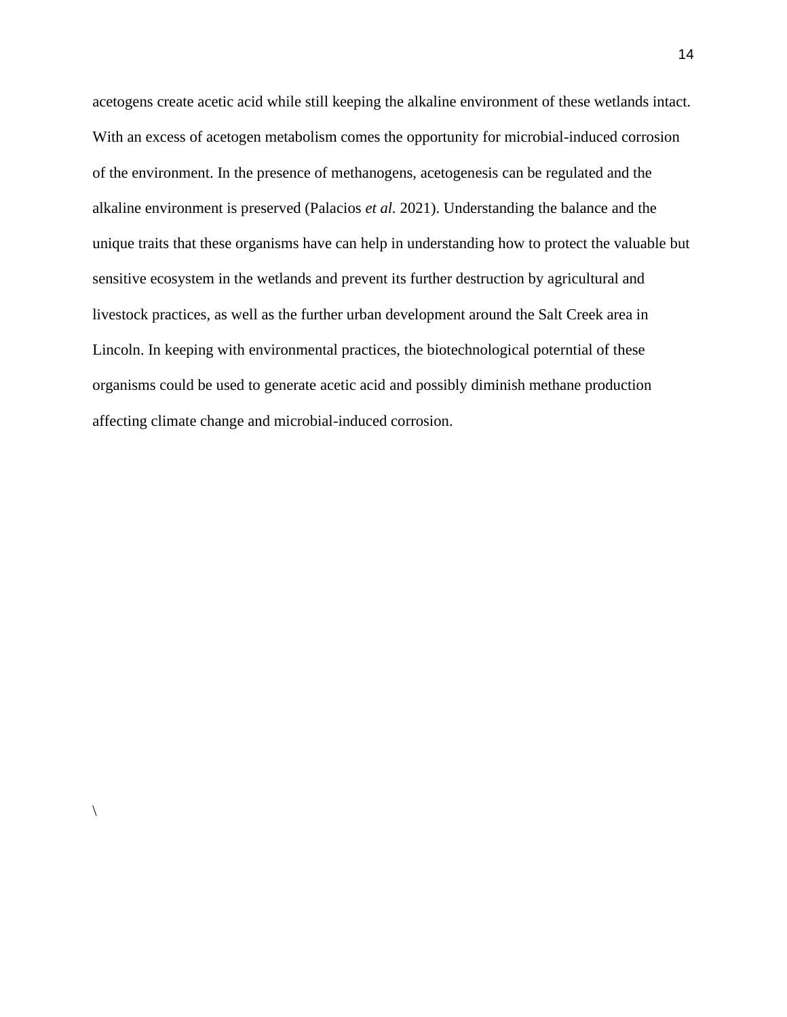acetogens create acetic acid while still keeping the alkaline environment of these wetlands intact. With an excess of acetogen metabolism comes the opportunity for microbial-induced corrosion of the environment. In the presence of methanogens, acetogenesis can be regulated and the alkaline environment is preserved (Palacios *et al.* 2021). Understanding the balance and the unique traits that these organisms have can help in understanding how to protect the valuable but sensitive ecosystem in the wetlands and prevent its further destruction by agricultural and livestock practices, as well as the further urban development around the Salt Creek area in Lincoln. In keeping with environmental practices, the biotechnological poterntial of these organisms could be used to generate acetic acid and possibly diminish methane production affecting climate change and microbial-induced corrosion.

 $\setminus$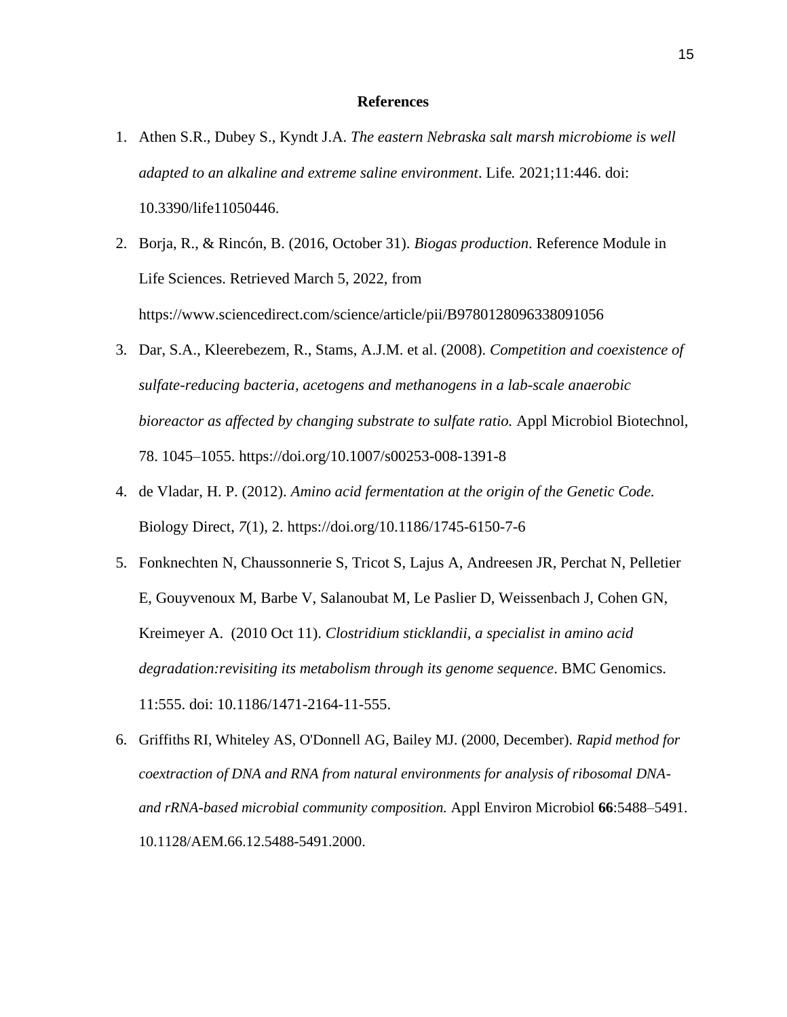#### **References**

- 1. Athen S.R., Dubey S., Kyndt J.A. *The eastern Nebraska salt marsh microbiome is well adapted to an alkaline and extreme saline environment*. Life*.* 2021;11:446. doi: 10.3390/life11050446.
- 2. Borja, R., & Rincón, B. (2016, October 31). *Biogas production*. Reference Module in Life Sciences. Retrieved March 5, 2022, from https://www.sciencedirect.com/science/article/pii/B9780128096338091056
- 3. Dar, S.A., Kleerebezem, R., Stams, A.J.M. et al. (2008). *Competition and coexistence of sulfate-reducing bacteria, acetogens and methanogens in a lab-scale anaerobic bioreactor as affected by changing substrate to sulfate ratio.* Appl Microbiol Biotechnol, 78. 1045–1055. https://doi.org/10.1007/s00253-008-1391-8
- 4. de Vladar, H. P. (2012). *Amino acid fermentation at the origin of the Genetic Code.*  Biology Direct, *7*(1), 2. https://doi.org/10.1186/1745-6150-7-6
- 5. Fonknechten N, Chaussonnerie S, Tricot S, Lajus A, Andreesen JR, Perchat N, Pelletier E, Gouyvenoux M, Barbe V, Salanoubat M, Le Paslier D, Weissenbach J, Cohen GN, Kreimeyer A. (2010 Oct 11). *Clostridium sticklandii, a specialist in amino acid degradation:revisiting its metabolism through its genome sequence*. BMC Genomics. 11:555. doi: 10.1186/1471-2164-11-555.
- 6. Griffiths RI, Whiteley AS, O'Donnell AG, Bailey MJ. (2000, December). *Rapid method for coextraction of DNA and RNA from natural environments for analysis of ribosomal DNAand rRNA-based microbial community composition.* Appl Environ Microbiol **66**:5488–5491. 10.1128/AEM.66.12.5488-5491.2000.